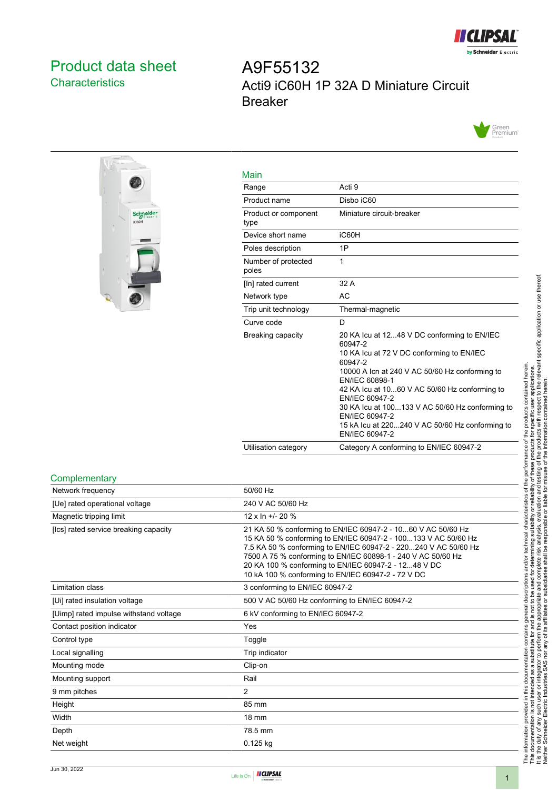

## <span id="page-0-0"></span>Product data sheet **Characteristics**

# A9F55132 Acti9 iC60H 1P 32A D Miniature Circuit Breaker





| Main                         |                                                                                                                                                                                                                                                                                                                                                                                                 |
|------------------------------|-------------------------------------------------------------------------------------------------------------------------------------------------------------------------------------------------------------------------------------------------------------------------------------------------------------------------------------------------------------------------------------------------|
| Range                        | Acti 9                                                                                                                                                                                                                                                                                                                                                                                          |
| Product name                 | Disbo iC60                                                                                                                                                                                                                                                                                                                                                                                      |
| Product or component<br>type | Miniature circuit-breaker                                                                                                                                                                                                                                                                                                                                                                       |
| Device short name            | iC60H                                                                                                                                                                                                                                                                                                                                                                                           |
| Poles description            | 1P                                                                                                                                                                                                                                                                                                                                                                                              |
| Number of protected<br>poles | 1                                                                                                                                                                                                                                                                                                                                                                                               |
| [In] rated current           | 32 A                                                                                                                                                                                                                                                                                                                                                                                            |
| Network type                 | AC                                                                                                                                                                                                                                                                                                                                                                                              |
| Trip unit technology         | Thermal-magnetic                                                                                                                                                                                                                                                                                                                                                                                |
| Curve code                   | D                                                                                                                                                                                                                                                                                                                                                                                               |
| Breaking capacity            | 20 KA Icu at 1248 V DC conforming to EN/IEC<br>60947-2<br>10 KA Icu at 72 V DC conforming to EN/IEC<br>60947-2<br>10000 A Icn at 240 V AC 50/60 Hz conforming to<br>EN/IEC 60898-1<br>42 KA Icu at 1060 V AC 50/60 Hz conforming to<br>EN/IEC 60947-2<br>30 KA lcu at 100133 V AC 50/60 Hz conforming to<br>EN/IEC 60947-2<br>15 kA Icu at 220240 V AC 50/60 Hz conforming to<br>EN/IEC 60947-2 |
| Utilisation category         | Category A conforming to EN/IEC 60947-2                                                                                                                                                                                                                                                                                                                                                         |

#### **Complementary**

| 50/60 Hz                                                                                                                                                                                                                                                                                                                                                                        |
|---------------------------------------------------------------------------------------------------------------------------------------------------------------------------------------------------------------------------------------------------------------------------------------------------------------------------------------------------------------------------------|
| 240 V AC 50/60 Hz                                                                                                                                                                                                                                                                                                                                                               |
| 12 x In $+/- 20$ %                                                                                                                                                                                                                                                                                                                                                              |
| 21 KA 50 % conforming to EN/IEC 60947-2 - 1060 V AC 50/60 Hz<br>15 KA 50 % conforming to EN/IEC 60947-2 - 100133 V AC 50/60 Hz<br>7.5 KA 50 % conforming to EN/IEC 60947-2 - 220240 V AC 50/60 Hz<br>7500 A 75 % conforming to EN/IEC 60898-1 - 240 V AC 50/60 Hz<br>20 KA 100 % conforming to EN/IEC 60947-2 - 1248 V DC<br>10 kA 100 % conforming to EN/IEC 60947-2 - 72 V DC |
| 3 conforming to EN/IEC 60947-2                                                                                                                                                                                                                                                                                                                                                  |
| 500 V AC 50/60 Hz conforming to EN/IEC 60947-2                                                                                                                                                                                                                                                                                                                                  |
| 6 kV conforming to EN/IEC 60947-2                                                                                                                                                                                                                                                                                                                                               |
| Yes                                                                                                                                                                                                                                                                                                                                                                             |
| Toggle                                                                                                                                                                                                                                                                                                                                                                          |
| Trip indicator                                                                                                                                                                                                                                                                                                                                                                  |
| Clip-on                                                                                                                                                                                                                                                                                                                                                                         |
| Rail                                                                                                                                                                                                                                                                                                                                                                            |
| 2                                                                                                                                                                                                                                                                                                                                                                               |
| 85 mm                                                                                                                                                                                                                                                                                                                                                                           |
| 18 mm                                                                                                                                                                                                                                                                                                                                                                           |
| 78.5 mm                                                                                                                                                                                                                                                                                                                                                                         |
| $0.125$ kg                                                                                                                                                                                                                                                                                                                                                                      |
|                                                                                                                                                                                                                                                                                                                                                                                 |

# The information provided in this documentation contains general descriptions and/or technical characteristics of the performance of the products contained herein.<br>This documentation is not intended as a substitute for and It is the duty of any such user or integrator to perform the appropriate and complete risk analysis, evaluation and testing of the products with respect to the relevant specific application or use thereof. The information provided in this documentation contains general descriptions and/or technical characteristics of the performance of the products contained herein. This documentation is not intended as a substitute for and is not to be used for determining suitability or reliability of these products for specific user applications. Neither Schneider Electric Industries SAS nor any of its affiliates or subsidiaries shall be responsible or liable for misuse of the information contained herein.